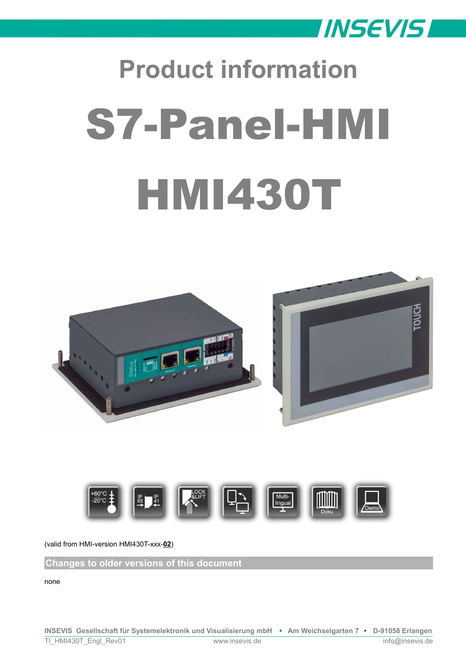

# **Product information** S7-Panel-HMI HMI430T





(valid from HMI-version HMI430T-xxx-**02**)

**Changes to older versions of this document**

none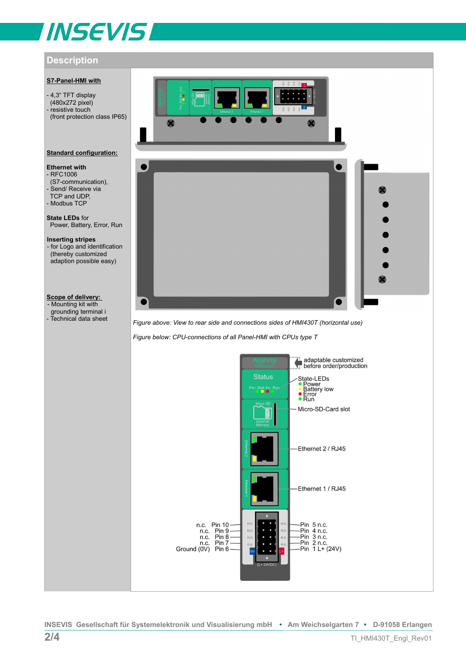# **INSEVIS**

# **Description**

# **S7-Panel-HMI with**

- 4,3" TFT display (480x272 pixel) - resistive touch (front protection class IP65)

# **Standard configuration:**

# **Ethernet with**

- RFC1006 (S7-communication), - Send/ Receive via TCP and UDP, - Modbus TCP

**State LEDs** for Power, Battery, Error, Run

**Inserting stripes**  - for Logo and identification (thereby customized adaption possible easy)

# **Scope of delivery:**

- Mounting kit with

grounding terminal i<br>- Technical data sheet



Figure above: View to rear side and connections sides of HMI430T (horizontal use)

*Figure below: CPU-connections of all Panel-HMI with CPUs type T*

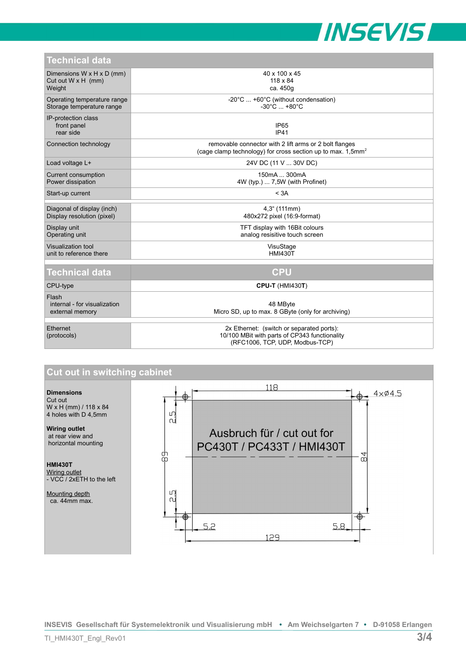

| <b>Technical data</b>                                                        |                                                                                                                                   |
|------------------------------------------------------------------------------|-----------------------------------------------------------------------------------------------------------------------------------|
| Dimensions $W \times H \times D$ (mm)<br>Cut out $W \times H$ (mm)<br>Weight | 40 x 100 x 45<br>118 x 84<br>ca. 450g                                                                                             |
| Operating temperature range<br>Storage temperature range                     | -20°C  +60°C (without condensation)<br>$-30^{\circ}$ C $+80^{\circ}$ C                                                            |
| IP-protection class<br>front panel<br>rear side                              | <b>IP65</b><br><b>IP41</b>                                                                                                        |
| Connection technology                                                        | removable connector with 2 lift arms or 2 bolt flanges<br>(cage clamp technology) for cross section up to max. 1,5mm <sup>2</sup> |
| Load voltage L+                                                              | 24V DC (11 V  30V DC)                                                                                                             |
| Current consumption<br>Power dissipation                                     | 150mA  300mA<br>4W (typ.)  7,5W (with Profinet)                                                                                   |
| Start-up current                                                             | < 3A                                                                                                                              |
| Diagonal of display (inch)<br>Display resolution (pixel)                     | 4,3" (111mm)<br>480x272 pixel (16:9-format)                                                                                       |
| Display unit<br>Operating unit                                               | TFT display with 16Bit colours<br>analog resisitive touch screen                                                                  |
| Visualization tool<br>unit to reference there                                | VisuStage<br><b>HMI430T</b>                                                                                                       |
| <b>Technical data</b>                                                        | <b>CPU</b>                                                                                                                        |
| CPU-type                                                                     | <b>CPU-T (HMI430T)</b>                                                                                                            |
| Flash<br>internal - for visualization<br>external memory                     | 48 MByte<br>Micro SD, up to max. 8 GByte (only for archiving)                                                                     |
| Ethernet<br>(protocols)                                                      | 2x Ethernet: (switch or separated ports):<br>10/100 MBit with parts of CP343 functionality<br>(RFC1006, TCP, UDP, Modbus-TCP)     |